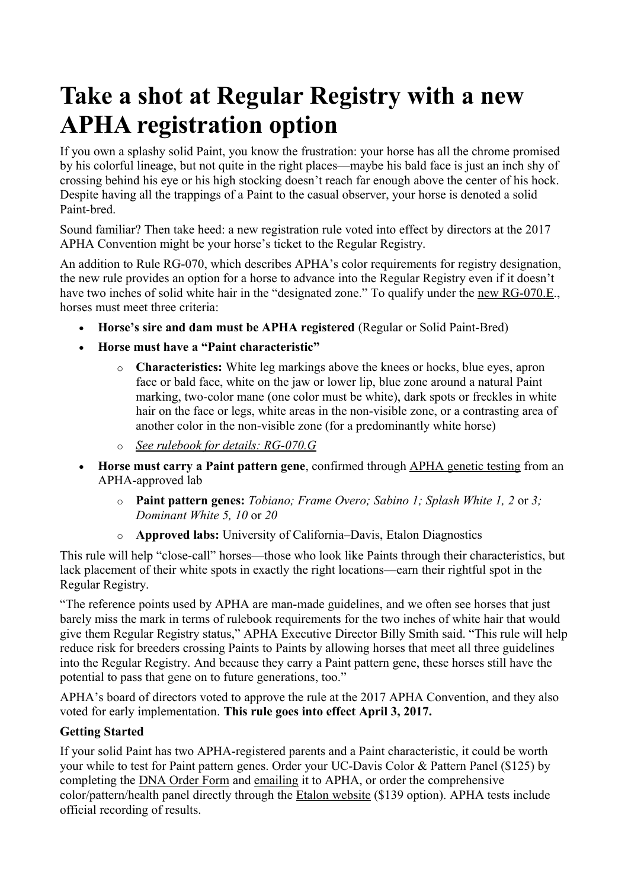## **Take a shot at Regular Registry with a new APHA registration option**

If you own a splashy solid Paint, you know the frustration: your horse has all the chrome promised by his colorful lineage, but not quite in the right places—maybe his bald face is just an inch shy of crossing behind his eye or his high stocking doesn't reach far enough above the center of his hock. Despite having all the trappings of a Paint to the casual observer, your horse is denoted a solid Paint-bred.

Sound familiar? Then take heed: a new registration rule voted into effect by directors at the 2017 APHA Convention might be your horse's ticket to the Regular Registry.

An addition to Rule RG-070, which describes APHA's color requirements for registry designation, the new rule provides an option for a horse to advance into the Regular Registry even if it doesn't have two inches of solid white hair in the "designated zone." To qualify under the [new RG-070.E.](http://apha.com/forms/rule-books/), horses must meet three criteria:

- **Horse's sire and dam must be APHA registered** (Regular or Solid Paint-Bred)
- **Horse must have a "Paint characteristic"** 
	- o **Characteristics:** White leg markings above the knees or hocks, blue eyes, apron face or bald face, white on the jaw or lower lip, blue zone around a natural Paint marking, two-color mane (one color must be white), dark spots or freckles in white hair on the face or legs, white areas in the non-visible zone, or a contrasting area of another color in the non-visible zone (for a predominantly white horse)
	- o *[See rulebook for details: RG-070.G](http://apha.com/forms/rule-books/)*
- **Horse must carry a Paint pattern gene**, confirmed through [APHA genetic testing](http://apha.com/association/geneticeq) from an APHA-approved lab
	- o **Paint pattern genes:** *Tobiano; Frame Overo; Sabino 1; Splash White 1, 2* or *3; Dominant White 5, 10* or *20*
	- o **Approved labs:** University of California–Davis, Etalon Diagnostics

This rule will help "close-call" horses—those who look like Paints through their characteristics, but lack placement of their white spots in exactly the right locations—earn their rightful spot in the Regular Registry.

"The reference points used by APHA are man-made guidelines, and we often see horses that just barely miss the mark in terms of rulebook requirements for the two inches of white hair that would give them Regular Registry status," APHA Executive Director Billy Smith said. "This rule will help reduce risk for breeders crossing Paints to Paints by allowing horses that meet all three guidelines into the Regular Registry. And because they carry a Paint pattern gene, these horses still have the potential to pass that gene on to future generations, too."

APHA's board of directors voted to approve the rule at the 2017 APHA Convention, and they also voted for early implementation. **This rule goes into effect April 3, 2017.**

## **Getting Started**

If your solid Paint has two APHA-registered parents and a Paint characteristic, it could be worth your while to test for Paint pattern genes. Order your UC-Davis Color & Pattern Panel (\$125) by completing the [DNA Order Form](http://apha.com/wp-content/uploads/2017/01/DNA-Hair-Kit-Order-Form-2017_English.pdf) and [emailing](file:///D:/Antje/phci/2017%20-%20Varie/APHA%20Newsletter/http:%2F%2Faskapha@apha.com) it to APHA, or order the comprehensive color/pattern/health panel directly through the [Etalon website](https://etalondiagnostics.com/index.php/account) (\$139 option). APHA tests include official recording of results.